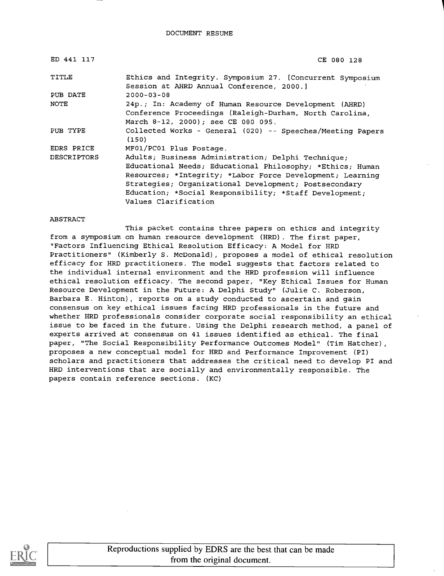| ED 441 117         | CE 080 128                                                                                                        |
|--------------------|-------------------------------------------------------------------------------------------------------------------|
| TITLE              | Ethics and Integrity. Symposium 27. [Concurrent Symposium<br>Session at AHRD Annual Conference, 2000.]            |
| PUB DATE           | $2000 - 03 - 08$                                                                                                  |
| NOTE               | 24p.; In: Academy of Human Resource Development (AHRD)<br>Conference Proceedings (Raleigh-Durham, North Carolina, |
|                    | March 8-12, 2000); see CE 080 095.                                                                                |
| PUB TYPE           | Collected Works - General (020) -- Speeches/Meeting Papers<br>(150)                                               |
| EDRS PRICE         | MF01/PC01 Plus Postage.                                                                                           |
| <b>DESCRIPTORS</b> | Adults; Business Administration; Delphi Technique;                                                                |
|                    | Educational Needs; Educational Philosophy; *Ethics; Human                                                         |
|                    | Resources; *Integrity; *Labor Force Development; Learning                                                         |
|                    | Strategies; Organizational Development; Postsecondary                                                             |
|                    | Education; *Social Responsibility; *Staff Development;                                                            |
|                    | Values Clarification                                                                                              |

#### ABSTRACT

This packet contains three papers on ethics and integrity from a symposium on human resource development (HRD). The first paper, "Factors Influencing Ethical Resolution Efficacy: A Model for HRD Practitioners" (Kimberly S. McDonald), proposes a model of ethical resolution efficacy for HRD practitioners. The model suggests that factors related to the individual internal environment and the HRD profession will influence ethical resolution efficacy. The second paper, "Key Ethical Issues for Human Resource Development in the Future: A Delphi Study" (Julie C. Roberson, Barbara E. Hinton), reports on a study conducted to ascertain and gain consensus on key ethical issues facing HRD professionals in the future and whether HRD professionals consider corporate social responsibility an ethical issue to be faced in the future. Using the Delphi research method, a panel of experts arrived at consensus on 41 issues identified as ethical. The final paper, "The Social Responsibility Performance Outcomes Model" (Tim Hatcher), proposes a new conceptual model for HRD and Performance Improvement (PI) scholars and practitioners that addresses the critical need to develop PI and HRD interventions that are socially and environmentally responsible. The papers contain reference sections. (KC)

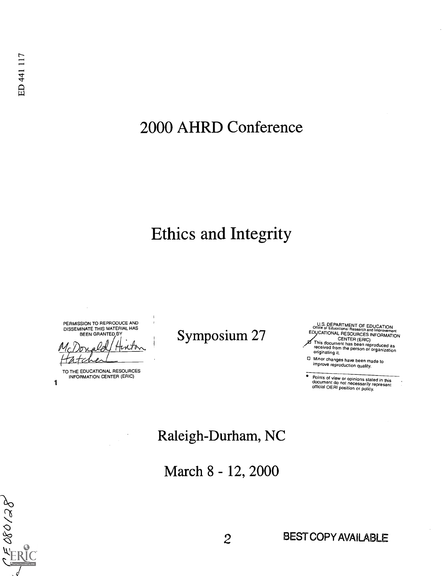# 2000 AHRD Conference

# Ethics and Integrity

PERMISSION TO REPRODUCE AND DISSEMINATE THIS MATERIAL HAS BEEN GRANTED BY

TO THE EDUCATIONAL RESOURCES INFORMATION CENTER (ERIC)

1

 $\frac{1}{2}680/28$ 

U.S. DEPARTMENT OF EDUCATION Office of Educational Research and Improvement ED CATIONAL RESOURCES Symposium 27 INFORMATION CENTER (ERIC) This document has been reproduced as received from the person or organization originating it.

0 Minor changes have been made to improve reproduction quality.

Points of view or opinions stated in this document do not necessarily represent<br>official OERI position cr policy.

## Raleigh-Durham, NC

March 8 - 12, 2000

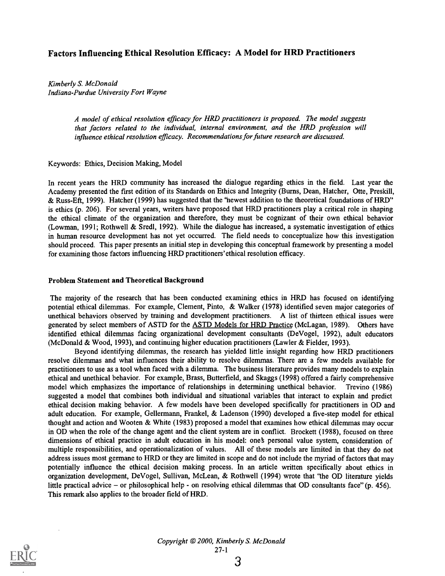#### Factors Influencing Ethical Resolution Efficacy: A Model for HRD Practitioners

Kimberly S. McDonald Indiana-Purdue University Fort Wayne

> A model of ethical resolution efficacy for HRD practitioners is proposed. The model suggests that factors related to the individual, internal environment, and the HRD profession will influence ethical resolution efficacy. Recommendations for future research are discussed.

Keywords: Ethics, Decision Making, Model

In recent years the HRD community has increased the dialogue regarding ethics in the field. Last year the Academy presented the first edition of its Standards on Ethics and Integrity (Burns, Dean, Hatcher, Otte, Preskill, & Russ-Eft, 1999). Hatcher (1999) has suggested that the 'newest addition to the theoretical foundations of HRD" is ethics (p. 206). For several years, writers have proposed that HRD practitioners play a critical role in shaping the ethical climate of the organization and therefore, they must be cognizant of their own ethical behavior (Lowman, 1991; Rothwell & Sredl, 1992). While the dialogue has increased, a systematic investigation of ethics in human resource development has not yet occurred. The field needs to conceptualize how this investigation should proceed. This paper presents an initial step in developing this conceptual framework by presenting a model for examining those factors influencing HRD practitioners' ethical resolution efficacy.

#### Problem Statement and Theoretical Background

The majority of the research that has been conducted examining ethics in HRD has focused on identifying potential ethical dilemmas. For example, Clement, Pinto, & Walker (1978) identified seven major categories of unethical behaviors observed by training and development practitioners. A list of thirteen ethical issues were generated by select members of ASTD for the ASTD Models for HRD Practice (McLagan, 1989). Others have identified ethical dilemmas facing organizational development consultants (DeVogel, 1992), adult educators (McDonald & Wood, 1993), and continuing higher education practitioners (Lawler & Fielder, 1993).

Beyond identifying dilemmas, the research has yielded little insight regarding how HRD practitioners resolve dilemmas and what influences their ability to resolve dilemmas. There are a few models available for practitioners to use as a tool when faced with a dilemma. The business literature provides many models to explain ethical and unethical behavior. For example, Brass, Butterfield, and Skaggs (1998) offered a fairly comprehensive model which emphasizes the importance of relationships in determining unethical behavior. Trevino (1986) suggested a model that combines both individual and situational variables that interact to explain and predict ethical decision making behavior. A few models have been developed specifically for practitioners in OD and adult education. For example, Gellermann, Frankel, & Ladenson (1990) developed a five-step model for ethical thought and action and Wooten & White (1983) proposed a model that examines how ethical dilemmas may occur in OD when the role of the change agent and the client system are in conflict. Brockett (1988), focused on three dimensions of ethical practice in adult education in his model: one§ personal value system, consideration of multiple responsibilities, and operationalization of values. All of these models are limited in that they do not address issues most germane to HRD or they are limited in scope and do not include the myriad of factors that may potentially influence the ethical decision making process. In an article written specifically about ethics in organization development, DeVogel, Sullivan, McLean, & Rothwell (1994) wrote that "the OD literature yields little practical advice – or philosophical help - on resolving ethical dilemmas that OD consultants face" (p.  $456$ ). This remark also applies to the broader field of HRD.



Copyright @ 2000, Kimberly S. McDonald 27-1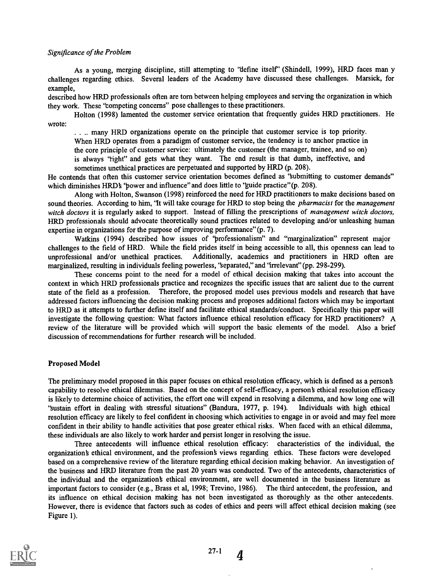#### Significance of the Problem

As a young, merging discipline, still attempting to 'define itself' (Shindell, 1999), HRD faces man v challenges regarding ethics. Several leaders of the Academy have discussed these challenges. Marsick, for example,

described how HRD professionals often are torn between helping employees and serving the organization in which they work. These "competing concerns" pose challenges to these practitioners.

Holton (1998) lamented the customer service orientation that frequently guides HRD practitioners. He wrote:

. . .. many HRD organizations operate on the principle that customer service is top priority. When HRD operates from a paradigm of customer service, the tendency is to anchor practice in the core principle of customer service: ultimately the customer (the manager, trainee, and so on) is always 'right" and gets what they want. The end result is that dumb, ineffective, and sometimes unethical practices are perpetuated and supported by HRD (p. 208).

He contends that often this customer service orientation becomes defined as 'submitting to customer demands" which diminishes HRD's 'bower and influence" and does little to 'guide practice" (p. 208).

Along with Holton, Swanson (1998) reinforced the need for HRD practitioners to make decisions based on sound theories. According to him, 'It will take courage for HRD to stop being the *pharmacist* for the management witch doctors it is regularly asked to support. Instead of filling the prescriptions of management witch doctors, HRD professionals should advocate theoretically sound practices related to developing and/or unleashing human expertise in organizations for the purpose of improving performance" (p. 7).

Watkins (1994) described how issues of 'professionalism" and "marginalization" represent major challenges to the field of HRD. While the field prides itself in being accessible to all, this openness can lead to unprofessional and/or unethical practices. Additionally, academics and practitioners in HRD often are marginalized, resulting in individuals feeling powerless, 'separated," and 'irrelevant" (pp. 298-299).

These concerns point to the need for a model of ethical decision making that takes into account the context in which HRD professionals practice and recognizes the specific issues that are salient due to the current state of the field as a profession. Therefore, the proposed model uses previous models and research that have addressed factors influencing the decision making process and proposes additional factors which may be important to HRD as it attempts to further define itself and facilitate ethical standards/conduct. Specifically this paper will investigate the following question: What factors influence ethical resolution efficacy for HRD practitioners? A review of the literature will be provided which will support the basic elements of the model. Also a brief discussion of recommendations for further research will be included.

#### Proposed Model

The preliminary model proposed in this paper focuses on ethical resolution efficacy, which is defined as a person§ capability to resolve ethical dilemmas. Based on the concept of self-efficacy, a person's ethical resolution efficacy is likely to determine choice of activities, the effort one will expend in resolving a dilemma, and how long one will `sustain effort in dealing with stressful situations" (Bandura, 1977, p. 194). Individuals with high ethical resolution efficacy are likely to feel confident in choosing which activities to engage in or avoid and may feel more confident in their ability to handle activities that pose greater ethical risks. When faced with an ethical dilemma, these individuals are also likely to work harder and persist longer in resolving the issue.

Three antecedents will influence ethical resolution efficacy: characteristics of the individual, the organization ethical environment, and the profession§ views regarding ethics. These factors were developed based on a comprehensive review of the literature regarding ethical decision making behavior. An investigation of the business and HRD literature from the past 20 years was conducted. Two of the antecedents, characteristics of the individual and the organization§ ethical environment, are well documented in the business literature as important factors to consider (e.g., Brass et al, 1998; Trevino, 1986). The third antecedent, the profession, and its influence on ethical decision making has not been investigated as thoroughly as the other antecedents. However, there is evidence that factors such as codes of ethics and peers will affect ethical decision making (see Figure 1).

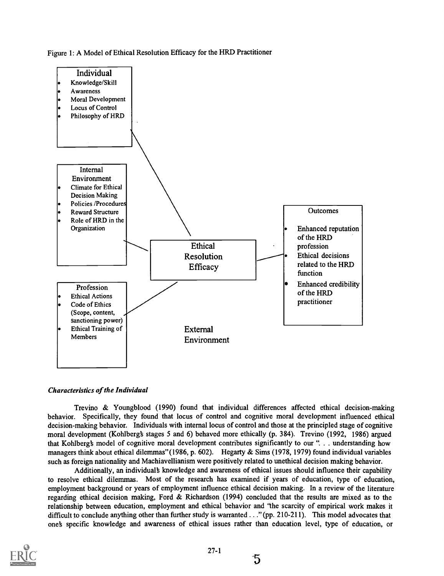



#### Characteristics of the Individual

Trevino & Youngblood (1990) found that individual differences affected ethical decision-making behavior. Specifically, they found that locus of control and cognitive moral development influenced ethical decision-making behavior. Individuals with internal locus of control and those at the principled stage of cognitive moral development (Kohlbergb stages 5 and 6) behaved more ethically (p. 384). Trevino (1992, 1986) argued that Kohlbergb model of cognitive moral development contributes significantly to our ". . . understanding how managers think about ethical dilemmas" (1986, p. 602). Hegarty & Sims (1978, 1979) found individual variables such as foreign nationality and Machiavellianism were positively related to unethical decision making behavior.

Additionally, an individual knowledge and awareness of ethical issues should influence their capability to resolve ethical dilemmas. Most of the research has examined if years of education, type of education, employment background or years of employment influence ethical decision making. In a review of the literature regarding ethical decision making, Ford & Richardson (1994) concluded that the results are mixed as to the relationship between education, employment and ethical behavior and "the scarcity of empirical work makes it difficult to conclude anything other than further study is warranted . . ." (pp. 210-211). This model advocates that one§ specific knowledge and awareness of ethical issues rather than education level, type of education, or



5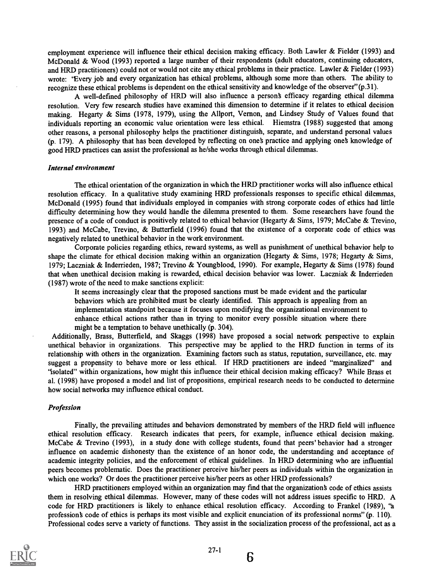employment experience will influence their ethical decision making efficacy. Both Lawler & Fielder (1993) and McDonald & Wood (1993) reported a large number of their respondents (adult educators, continuing educators, and HRD practitioners) could not or would not cite any ethical problems in their practice. Lawler & Fielder (1993) wrote: 'Every job and every organization has ethical problems, although some more than others. The ability to recognize these ethical problems is dependent on the ethical sensitivity and knowledge of the observer"(p.31).

A well-defined philosophy of HRD will also influence a person§ efficacy regarding ethical dilemma resolution. Very few research studies have examined this dimension to determine if it relates to ethical decision making. Hegarty & Sims (1978, 1979), using the Allport, Vernon, and Lindsey Study of Values found that individuals reporting an economic value orientation were less ethical. Hiemstra (1988) suggested that among other reasons, a personal philosophy helps the practitioner distinguish, separate, and understand personal values (p. 179). A philosophy that has been developed by reflecting on one's practice and applying one's knowledge of good HRD practices can assist the professional as he/she works through ethical dilemmas.

#### Internal environment

The ethical orientation of the organization in which the HRD practitioner works will also influence ethical resolution efficacy. In a qualitative study examining HRD professionals responses to specific ethical dilemmas, McDonald (1995) found that individuals employed in companies with strong corporate codes of ethics had little difficulty determining how they would handle the dilemma presented to them. Some researchers have found the presence of a code of conduct is positively related to ethical behavior (Hegarty & Sims, 1979; McCabe & Trevino, 1993) and McCabe, Trevino, & Butterfield (1996) found that the existence of a corporate code of ethics was negatively related to unethical behavior in the work environment.

Corporate policies regarding ethics, reward systems, as well as punishment of unethical behavior help to shape the climate for ethical decision making within an organization (Hegarty & Sims, 1978; Hegarty & Sims, 1979; Laczniak & Inderrieden, 1987; Trevino & Youngblood, 1990). For example, Hegarty & Sims (1978) found that when unethical decision making is rewarded, ethical decision behavior was lower. Laczniak & Inderrieden (1987) wrote of the need to make sanctions explicit:

It seems increasingly clear that the proposed sanctions must be made evident and the particular behaviors which are prohibited must be clearly identified. This approach is appealing from an implementation standpoint because it focuses upon modifying the organizational environment to enhance ethical actions rather than in trying to monitor every possible situation where there might be a temptation to behave unethically (p. 304).

Additionally, Brass, Butterfield, and Skaggs (1998) have proposed a social network perspective to explain unethical behavior in organizations. This perspective may be applied to the HRD function in terms of its relationship with others in the organization. Examining factors such as status, reputation, surveillance, etc. may suggest a propensity to behave more or less ethical. If HRD practitioners are indeed "marginalized" and 'isolated" within organizations, how might this influence their ethical decision making efficacy? While Brass et al. (1998) have proposed a model and list of propositions, empirical research needs to be conducted to determine how social networks may influence ethical conduct.

#### Profession

Finally, the prevailing attitudes and behaviors demonstrated by members of the HRD field will influence ethical resolution efficacy. Research indicates that peers, for example, influence ethical decision making. McCabe & Trevino (1993), in a study done with college students, found that peers' behavior had a stronger influence on academic dishonesty than the existence of an honor code, the understanding and acceptance of academic integrity policies, and the enforcement of ethical guidelines. In HRD determining who are influential peers becomes problematic. Does the practitioner perceive his/her peers as individuals within the organization in which one works? Or does the practitioner perceive his/her peers as other HRD professionals?

HRD practitioners employed within an organization may find that the organizations code of ethics assists them in resolving ethical dilemmas. However, many of these codes will not address issues specific to HRD. A code for HRD practitioners is likely to enhance ethical resolution efficacy. According to Frankel (1989), 'a professions code of ethics is perhaps its most visible and explicit enunciation of its professional norms" (p. 110). Professional codes serve a variety of functions. They assist in the socialization process of the professional, act as a



6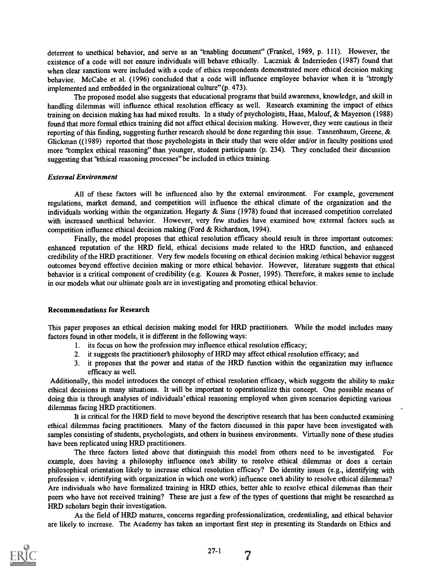deterrent to unethical behavior, and serve as an 'enabling document' (Frankel, 1989, p. 111). However, the existence of a code will not ensure individuals will behave ethically. Laczniak & Inderrieden (1987) found that when clear sanctions were included with a code of ethics respondents demonstrated more ethical decision making behavior. McCabe et al. (1996) concluded that a code will influence employee behavior when it is 'strongly implemented and embedded in the organizational culture" (p. 473).

The proposed model also suggests that educational programs that build awareness, knowledge, and skill in handling dilemmas will influence ethical resolution efficacy as well. Research examining the impact of ethics training on decision making has had mixed results. In a study of psychologists, Haas, Malouf, & Mayerson (1988) found that more formal ethics training did not affect ethical decision making. However, they were cautious in their reporting of this finding, suggesting further research should be done regarding this issue. Tannenbaum, Greene,  $\&$ Glickman ((1989) reported that those psychologists in their study that were older and/or in faculty positions used more "complex ethical reasoning" than younger, student participants (p. 234). They concluded their discussion suggesting that 'ethical reasoning processes' be included in ethics training.

#### External Environment

All of these factors will be influenced also by the external environment. For example, government regulations, market demand, and competition will influence the ethical climate of the organization and the individuals working within the organization. Hegarty  $\&$  Sims (1978) found that increased competition correlated with increased unethical behavior. However, very few studies have examined how external factors such as competition influence ethical decision making (Ford & Richardson, 1994).

Finally, the model proposes that ethical resolution efficacy should result in three important outcomes: enhanced reputation of the HRD field, ethical decisions made related to the HRD function, and enhanced credibility of the HRD practitioner. Very few models focusing on ethical decision making /ethical behavior suggest outcomes beyond effective decision making or more ethical behavior. However, literature suggests that ethical behavior is a critical component of credibility (e.g. Kouzes & Posner, 1995). Therefore, it makes sense to include in our models what our ultimate goals are in investigating and promoting ethical behavior.

#### Recommendations for Research

This paper proposes an ethical decision making model for HRD practitioners. While the model includes many factors found in other models, it is different in the following ways:

- 1. its focus on how the profession may influence ethical resolution efficacy;
- 2. it suggests the practitioners philosophy of HRD may affect ethical resolution efficacy; and
- 3. it proposes that the power and status of the HRD function within the organization may influence efficacy as well.

Additionally, this model introduces the concept of ethical resolution efficacy, which suggests the ability to make ethical decisions in many situations. It will be important to operationalize this concept. One possible means of doing this is through analyses of individuals' ethical reasoning employed when given scenarios depicting various dilemmas facing HRD practitioners.

It is critical for the HRD field to move beyond the descriptive research that has been conducted examining ethical dilemmas facing practitioners. Many of the factors discussed in this paper have been investigated with samples consisting of students, psychologists, and others in business environments. Virtually none of these studies have been replicated using HRD practitioners.

The three factors listed above that distinguish this model from others need to be investigated. For example, does having a philosophy influence one's ability to resolve ethical dilemmas or does a certain philosophical orientation likely to increase ethical resolution efficacy? Do identity issues (e.g., identifying with profession v. identifying with organization in which one work) influence ones ability to resolve ethical dilemmas? Are individuals who have formalized training in HRD ethics, better able to resolve ethical dilemmas than their peers who have not received training? These are just a few of the types of questions that might be researched as HRD scholars begin their investigation.

As the field of HRD matures, concerns regarding professionalization, credentialing, and ethical behavior are likely to increase. The Academy has taken an important first step in presenting its Standards on Ethics and

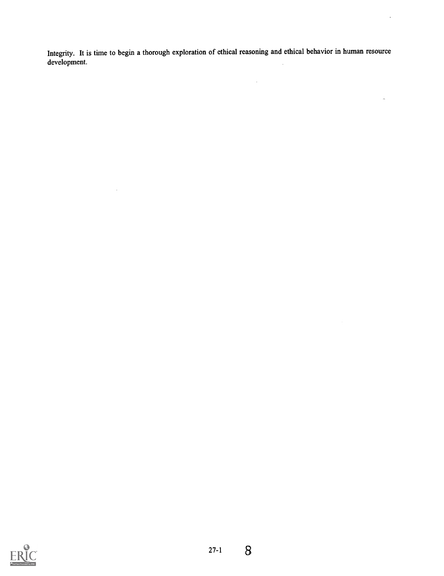Integrity. It is time to begin a thorough exploration of ethical reasoning and ethical behavior in human resource development. $\bar{\beta}$ 

 $\sim$ 

 $\sim$ 

 $\ddot{\phantom{a}}$ 

 $\overline{\phantom{a}}$ 

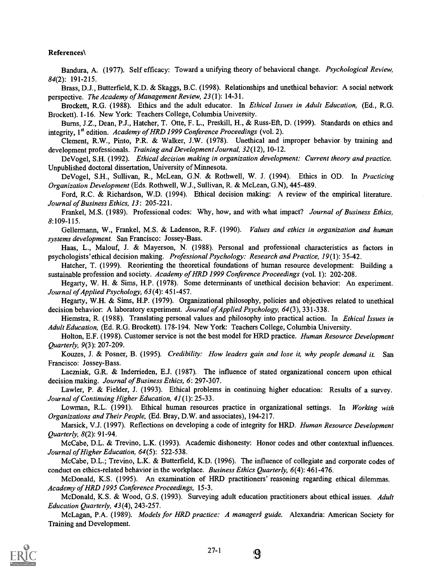#### References\

Bandura, A. (1977). Self efficacy: Toward a unifying theory of behavioral change. Psychological Review, 84(2): 191-215.

Brass, D.J., Butterfield, K.D. & Skaggs, B.C. (1998). Relationships and unethical behavior: A social network perspective. The Academy of Management Review, 23 (1): 14-31.

Brockett, R.G. (1988). Ethics and the adult educator. In *Ethical Issues in Adult Education*, (Ed., R.G. Brockett). 1-16. New York: Teachers College, Columbia University.

Burns, J.Z., Dean, P.J., Hatcher, T. Otte, F. L., Preskill, H., & Russ-Eft, D. (1999). Standards on ethics and integrity, 1<sup>st</sup> edition. Academy of HRD 1999 Conference Proceedings (vol. 2).

Clement, R.W., Pinto, P.R. & Walker, J.W. (1978). Unethical and improper behavior by training and development professionals. Training and Development Journal, 32(12), 10-12.

DeVogel, S.H. (1992). Ethical decision making in organization development: Current theory and practice. Unpublished doctoral dissertation, University of Minnesota.

DeVogel, S.H., Sullivan, R., McLean, G.N. & Rothwell, W. J. (1994). Ethics in OD. In Practicing Organization Development (Eds. Rothwell, W.J., Sullivan, R. & McLean, G.N), 445-489.

Ford, R.C. & Richardson, W.D. (1994). Ethical decision making: A review of the empirical literature. Journal of Business Ethics, 13: 205-221.

Frankel, M.S. (1989). Professional codes: Why, how, and with what impact? Journal of Business Ethics, 8:109-115.

Gellermann, W., Frankel, M.S. & Ladenson, R.F. (1990). Values and ethics in organization and human systems development. San Francisco: Jossey-Bass.

Haas, L., Malouf, J. & Mayerson, N. (1988). Personal and professional characteristics as factors in psychologists'ethical decision making. Professional Psychology: Research and Practice, 19(1): 35-42.

Hatcher, T. (1999). Reorienting the theoretical foundations of human resource development: Building a sustainable profession and society. Academy of HRD 1999 Conference Proceedings (vol. 1): 202-208.

Hegarty, W. H. & Sims, H.P. (1978). Some determinants of unethical decision behavior: An experiment. Journal of Applied Psychology, 63 (4): 451-457.

Hegarty, W.H. & Sims, H.P. (1979). Organizational philosophy, policies and objectives related to unethical decision behavior: A laboratory experiment. Journal of Applied Psychology, 64(3), 331-338.

Hiemstra, R. (1988). Translating personal values and philosophy into practical action. In Ethical Issues in Adult Education, (Ed. R.G. Brockett). 178-194. New York: Teachers College, Columbia University.

Holton, E.F. (1998). Customer service is not the best model for HRD practice. Human Resource Development Quarterly, 9(3): 207-209.

Kouzes, J. & Posner, B. (1995). Credibility: How leaders gain and lose it, why people demand it. San Francisco: Jossey-Bass.

Laczniak, G.R. & Inderrieden, E.J. (1987). The influence of stated organizational concern upon ethical decision making. Journal of Business Ethics, 6: 297-307.

Lawler, P. & Fielder, J. (1993). Ethical problems in continuing higher education: Results of a survey. Journal of Continuing Higher Education, 41(1): 25-33.

Lowman, R.L. (1991). Ethical human resources practice in organizational settings. In Working with Organizations and Their People, (Ed. Bray, D.W. and associates), 194-217.

Marsick, V.J. (1997). Reflections on developing a code of integrity for HRD. Human Resource Development Quarterly, 8(2): 91-94.

McCabe, D.L. & Trevino, L.K. (1993). Academic dishonesty: Honor codes and other contextual influences. Journal of Higher Education, 64(5): 522-538.

McCabe, D.L.; Trevino, L.K. & Butterfield, K.D. (1996). The influence of collegiate and corporate codes of conduct on ethics-related behavior in the workplace. Business Ethics Quarterly, 6(4): 461-476.

McDonald, K.S. (1995). An examination of HRD practitioners' reasoning regarding ethical dilemmas. Academy of HRD 1995 Conference Proceedings, 15-3.

McDonald, K.S. & Wood, G.S. (1993). Surveying adult education practitioners about ethical issues. Adult Education Quarterly, 43(4), 243-257.

McLagan, P.A. (1989). Models for HRD practice: A managers guide. Alexandria: American Society for Training and Development.



9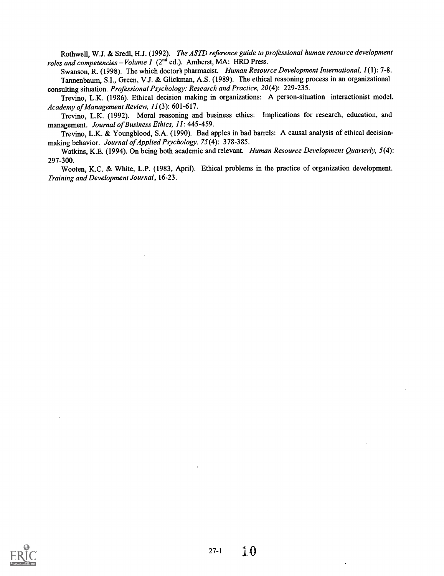Rothwell, W.J. & Sredl, H.J. (1992). The ASTD reference guide to professional human resource development roles and competencies  $-Volume$   $I$  ( $2<sup>nd</sup>$  ed.). Amherst, MA: HRD Press.

Swanson, R. (1998). The which doctor's pharmacist. Human Resource Development International, 1(1): 7-8. Tannenbaum, S.I., Green, V.J. & Glickman, A.S. (1989). The ethical reasoning process in an organizational consulting situation. Professional Psychology: Research and Practice, 20(4): 229-235.

Trevino, L.K. (1986). Ethical decision making in organizations: A person-situation interactionist model. Academy of Management Review, 11(3): 601-617.

Trevino, L.K. (1992). Moral reasoning and business ethics: Implications for research, education, and management. Journal of Business Ethics, 11: 445-459.

Trevino, L.K. & Youngblood, S.A. (1990). Bad apples in bad barrels: A causal analysis of ethical decisionmaking behavior. Journal of Applied Psychology, 75(4): 378-385.

Watkins, K.E. (1994). On being both academic and relevant. Human Resource Development Quarterly, 5(4): 297-300.

Wooten, K.C. & White, L.P. (1983, April). Ethical problems in the practice of organization development. Training and Development Journal, 16-23.

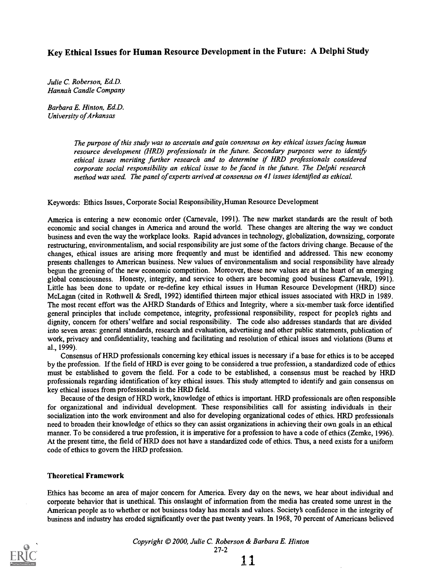#### Key Ethical Issues for Human Resource Development in the Future: A Delphi Study

Julie C. Roberson, Ed.D. Hannah Candle Company

Barbara E. Hinton, Ed.D. University of Arkansas

> The purpose of this study was to ascertain and gain consensus on key ethical issues facing human resource development (HRD) professionals in the future. Secondary purposes were to identift ethical issues meriting further research and to determine if HRD professionals considered corporate social responsibility an ethical issue to be faced in the future. The Delphi research method was used. The panel of experts arrived at consensus on 41 issues identified as ethical.

Keywords: Ethics Issues, Corporate Social Responsibility, Human Resource Development

America is entering a new economic order (Carnevale, 1991). The new market standards are the result of both economic and social changes in America and around the world. These changes are altering the way we conduct business and even the way the workplace looks. Rapid advances in technology, globalization, downsizing, corporate restructuring, environmentalism, and social responsibility are just some of the factors driving change. Because of the changes, ethical issues are arising more frequently and must be identified and addressed. This new economy presents challenges to American business. New values of environmentalism and social responsibility have already begun the greening of the new economic competition. Moreover, these new values are at the heart of an emerging global consciousness. Honesty, integrity, and service to others are becoming good business (Carnevale, 1991). Little has been done to update or re-define key ethical issues in Human Resource Development (HRD) since McLagan (cited in Rothwell & Sredl, 1992) identified thirteen major ethical issues associated with HRD in 1989. The most recent effort was the AHRD Standards of Ethics and Integrity, where a six-member task force identified general principles that include competence, integrity, professional responsibility, respect for people's rights and dignity, concern for others' welfare and social responsibility. The code also addresses standards that are divided into seven areas: general standards, research and evaluation, advertising and other public statements, publication of work, privacy and confidentiality, teaching and facilitating and resolution of ethical issues and violations (Burns et al., 1999).

Consensus of HRD professionals concerning key ethical issues is necessary if a base for ethics is to be acceptd by the profession. If the field of HRD is ever going to be considered a true profession, a standardized code of ethics must be established to govern the field. For a code to be established, a consensus must be reached by HRD professionals regarding identification of key ethical issues. This study attempted to identify and gain consensus on key ethical issues from professionals in the HRD field.

Because of the design of HRD work, knowledge of ethics is important. HRD professionals are often responsible for organizational and individual development. These responsibilities call for assisting individuals in their socialization into the work environment and also for developing organizational codes of ethics. HRD professionals need to broaden their knowledge of ethics so they can assist organizations in achieving their own goals in an ethical manner. To be considered a true profession, it is imperative for a profession to have a code of ethics (Zemke, 1996). At the present time, the field of HRD does not have a standardized code of ethics. Thus, a need exists for a uniform code of ethics to govern the HRD profession.

#### Theoretical Framework

Ethics has become an area of major concern for America. Every day on the news, we hear about individual and corporate behavior that is unethical. This onslaught of information from the media has created some unrest in the American people as to whether or not business today has morals and values. Society's confidence in the integrity of business and industry has eroded significantly over the past twenty years. In 1968, 70 percent of Americans believed

Copyright @ 2000, Julie C. Roberson & Barbara E. Hinton 27-2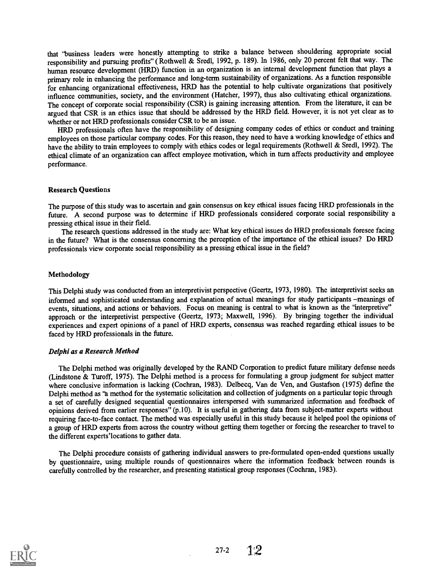that 'business leaders were honestly attempting to strike a balance between shouldering appropriate social responsibility and pursuing profits" ( Rothwell & Sredl, 1992, p. 189). In 1986, only 20 percent felt that way. The human resource development (HRD) function in an organization is an internal development function that plays a primary role in enhancing the performance and long-term sustainability of organizations. As a function responsible for enhancing organizational effectiveness, HRD has the potential to help cultivate organizations that positively influence communities, society, and the environment (Hatcher, 1997), thus also cultivating ethical organizations. The concept of corporate social responsibility (CSR) is gaining increasing attention. From the literature, it can be argued that CSR is an ethics issue that should be addressed by the HRD field. However, it is not yet clear as to whether or not HRD professionals consider CSR to be an issue.

HRD professionals often have the responsibility of designing company codes of ethics or conduct and training employees on those particular company codes. For this reason, they need to have a working knowledge of ethics and have the ability to train employees to comply with ethics codes or legal requirements (Rothwell & Sredl, 1992). The ethical climate of an organization can affect employee motivation, which in turn affects productivity and employee performance.

#### Research Questions

The purpose of this study was to ascertain and gain consensus on key ethical issues facing HRD professionals in the future. A second purpose was to determine if HRD professionals considered corporate social responsibility a pressing ethical issue in their field.

The research questions addressed in the study are: What key ethical issues do HRD professionals foresee facing in the future? What is the consensus concerning the perception of the importance of the ethical issues? Do HRD professionals view corporate social responsibility as a pressing ethical issue in the field?

#### Methodology

This Delphi study was conducted from an interpretivist perspective (Geertz, 1973, 1980). The interpretivist seeks an informed and sophisticated understanding and explanation of actual meanings for study participants -meanings of events, situations, and actions or behaviors. Focus on meaning is central to what is known as the 'interpretive'' approach or the interpretivist perspective (Geertz, 1973; Maxwell, 1996). By bringing together the individual experiences and expert opinions of a panel of HRD experts, consensus was reached regarding ethical issues to be faced by HRD professionals in the future.

#### Delphi as a Research Method

The Delphi method was originally developed by the RAND Corporation to predict future military defense needs (Lindstone & Turoff, 1975). The Delphi method is a process for formulating a group judgment for subject matter where conclusive information is lacking (Cochran, 1983). Delbecq, Van de Ven, and Gustafson (1975) define the Delphi method as 'a method for the systematic solicitation and collection of judgments on a particular topic through a set of carefully designed sequential questionnaires interspersed with summarized information and feedback of opinions derived from earlier responses" (p.10). It is useful in gathering data from subject-matter experts without requiring face-to-face contact. The method was especially useful in this study because it helped pool the opinions of a group of HRD experts from across the country without getting them together or forcing the researcher to travel to the different experts'locations to gather data.

The Delphi procedure consists of gathering individual answers to pre-formulated open-ended questions usually by questionnaire, using multiple rounds of questionnaires where the information feedback between rounds is carefully controlled by the researcher, and presenting statistical group responses (Cochran, 1983).



27-2  $1.2$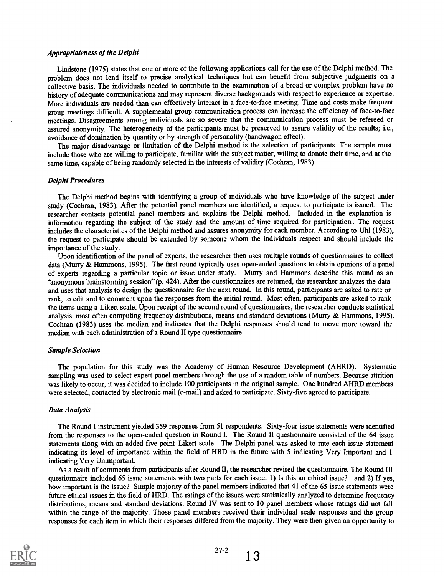#### Appropriateness of the Delphi

Lindstone (1975) states that one or more of the following applications call for the use of the Delphi method. The problem does not lend itself to precise analytical techniques but can benefit from subjective judgments on a collective basis. The individuals needed to contribute to the examination of a broad or complex problem have no history of adequate communications and may represent diverse backgrounds with respect to experience or expertise. More individuals are needed than can effectively interact in a face-to-face meeting. Time and costs make frequent group meetings difficult. A supplemental group communication process can increase the efficiency of face-to-face meetings. Disagreements among individuals are so severe that the communication process must be refereed or assured anonymity. The heterogeneity of the participants must be preserved to assure validity of the results; i.e., avoidance of domination by quantity or by strength of personality (bandwagon effect).

The major disadvantage or limitation of the Delphi method is the selection of participants. The sample must include those who are willing to participate, familiar with the subject matter, willing to donate their time, and at the same time, capable of being randomly selected in the interests of validity (Cochran, 1983).

#### Delphi Procedures

The Delphi method begins with identifying a group of individuals who have knowledge of the subject under study (Cochran, 1983). After the potential panel members are identified, a request to participate is issued. The researcher contacts potential panel members and explains the Delphi method. Included in the explanation is information regarding the subject of the study and the amount of time required for participation . The request includes the characteristics of the Delphi method and assures anonymity for each member. According to Uhl (1983), the request to participate should be extended by someone whom the individuals respect and should include the importance of the study.

Upon identification of the panel of experts, the researcher then uses multiple rounds of questionnaires to collect data (Murry & Hammons, 1995). The first round typically uses open-ended questions to obtain opinions of a panel of experts regarding a particular topic or issue under study. Murry and Hammons describe this round as an 'anonymous brainstorming session" (p. 424). After the questionnaires are returned, the researcher analyzes the data and uses that analysis to design the questionnaire for the next round. In this round, participants are asked to rate or rank, to edit and to comment upon the responses from the initial round. Most often, participants are asked to rank the items using a Likert scale. Upon receipt of the second round of questionnaires, the researcher conducts statistical analysis, most often computing frequency distributions, means and standard deviations (Murry & Hammons, 1995). Cochran (1983) uses the median and indicates that the Delphi responses should tend to move more toward the median with each administration of a Round II type questionnaire.

#### Sample Selection

The population for this study was the Academy of Human Resource Development (AHRD). Systematic sampling was used to select expert panel members through the use of a random table of numbers. Because attrition was likely to occur, it was decided to include 100 participants in the original sample. One hundred AHRD members were selected, contacted by electronic mail (e-mail) and asked to participate. Sixty-five agreed to participate.

#### Data Analysis

The Round I instrument yielded 359 responses from 51 respondents. Sixty-four issue statements were identified from the responses to the open-ended question in Round I. The Round H questionnaire consisted of the 64 issue statements along with an added five-point Likert scale. The Delphi panel was asked to rate each issue statement indicating its level of importance within the field of HRD in the future with 5 indicating Very Important and 1 indicating Very Unimportant.

As a result of comments from participants after Round H, the researcher revised the questionnaire. The Round III questionnaire included 65 issue statements with two parts for each issue: 1) Is this an ethical issue? and 2) If yes, how important is the issue? Simple majority of the panel members indicated that 41 of the 65 issue statements were future ethical issues in the field of HRD. The ratings of the issues were statistically analyzed to determine frequency distributions, means and standard deviations. Round IV was sent to 10 panel members whose ratings did not fall within the range of the majority. Those panel members received their individual scale responses and the group responses for each item in which their responses differed from the majority. They were then given an opportunity to



13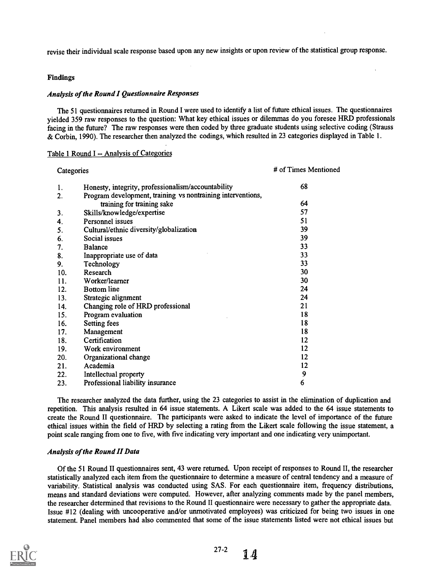revise their individual scale response based upon any new insights or upon review of the statistical group response.

#### Findings

#### Analysis of the Round I Questionnaire Responses

The 51 questionnaires returned in Round I were used to identify a list of future ethical issues. The questionnaires yielded 359 raw responses to the question: What key ethical issues or dilemmas do you foresee HRD professionals facing in the future? The raw responses were then coded by three graduate students using selective coding (Strauss & Corbin, 1990). The researcher then analyzed the codings, which resulted in 23 categories displayed in Table 1.

#### Table 1 Round I -- Analysis of Categories

| Categories                                                                                      | # of Times Mentioned |
|-------------------------------------------------------------------------------------------------|----------------------|
| Honesty, integrity, professionalism/accountability<br>1.                                        | 68                   |
| Program development, training vs nontraining interventions,<br>2.<br>training for training sake | 64                   |
|                                                                                                 | 57                   |
| Skills/knowledge/expertise<br>3.                                                                |                      |
| <b>Personnel issues</b><br>4.                                                                   | 51                   |
| Cultural/ethnic diversity/globalization<br>5.                                                   | 39                   |
| Social issues<br>6.                                                                             | 39                   |
| 7.<br><b>Balance</b>                                                                            | 33                   |
| 8.<br>Inappropriate use of data                                                                 | 33                   |
| 9.<br>Technology                                                                                | 33                   |
| 10.<br>Research                                                                                 | 30                   |
| Worker/learner<br>11.                                                                           | 30                   |
| 12.<br><b>Bottom</b> line                                                                       | 24                   |
| 13.<br>Strategic alignment                                                                      | 24                   |
| Changing role of HRD professional<br>14.                                                        | 21                   |
| 15.<br>Program evaluation                                                                       | 18                   |
| 16.<br><b>Setting fees</b>                                                                      | 18                   |
| Management<br>17.                                                                               | 18                   |
| Certification<br>18.                                                                            | 12                   |
| 19.<br>Work environment                                                                         | 12                   |
| 20.<br>Organizational change                                                                    | 12                   |
| Academia<br>21.                                                                                 | 12                   |
| Intellectual property<br>22.                                                                    | 9                    |
| Professional liability insurance<br>23.                                                         | 6                    |

The researcher analyzed the data further, using the 23 categories to assist in the elimination of duplication and repetition. This analysis resulted in 64 issue statements. A Likert scale was added to the 64 issue statements to create the Round II questionnaire. The participants were asked to indicate the level of importance of the future ethical issues within the field of HRD by selecting a rating from the Likert scale following the issue statement, a point scale ranging from one to five, with five indicating very important and one indicating very unimportant.

#### Analysis of the Round II Data

Of the 51 Round II questionnaires sent, 43 were returned. Upon receipt of responses to Round II, the researcher statistically analyzed each item from the questionnaire to determine a measure of central tendency and a measure of variability. Statistical analysis was conducted using SAS. For each questionnaire item, frequency distributions, means and standard deviations were computed. However, after analyzing comments made by the panel members, the researcher determined that revisions to the Round II questionnaire were necessary to gather the appropriate data. Issue #12 (dealing with uncooperative and/or unmotivated employees) was criticized for being two issues in one statement. Panel members had also commented that some of the issue statements listed were not ethical issues but



27-2J 4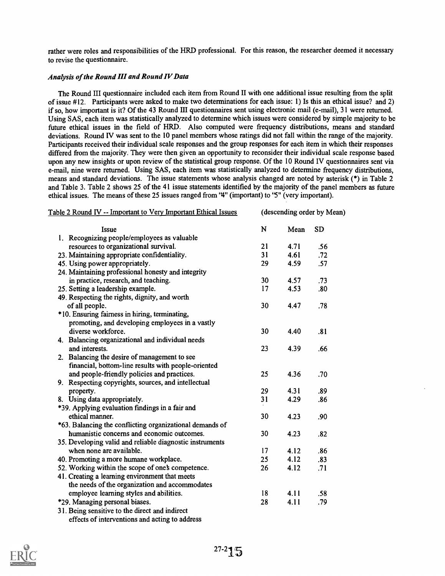rather were roles and responsibilities of the HRD professional. For this reason, the researcher deemed it necessary to revise the questionnaire.

#### Analysis of the Round III and Round IV Data

The Round III questionnaire included each item from Round II with one additional issue resulting from the split of issue #12. Participants were asked to make two determinations for each issue: 1) Is this an ethical issue? and 2) if so, how important is it? Of the 43 Round HI questionnaires sent using electronic mail (e-mail), 31 were returned. Using SAS, each item was statistically analyzed to determine which issues were considered by simple majority to be future ethical issues in the field of HRD. Also computed were frequency distributions, means and standard deviations. Round IV was sent to the 10 panel members whose ratings did not fall within the range of the majority. Participants received their individual scale responses and the group responses for each item in which their responses differed from the majority. They were then given an opportunity to reconsider their individual scale response based upon any new insights or upon review of the statistical group response. Of the 10 Round IV questionnaires sent via e-mail, nine were returned. Using SAS, each item was statistically analyzed to determine frequency distributions, means and standard deviations. The issue statements whose analysis changed are noted by asterisk (\*) in Table 2 and Table 3. Table 2 shows 25 of the 41 issue statements identified by the majority of the panel members as future ethical issues. The means of these 25 issues ranged from '4" (important) to '5" (very important).

| Table 2 Round IV -- Important to Very Important Ethical Issues | (descending order by Mean) |      |           |
|----------------------------------------------------------------|----------------------------|------|-----------|
| Issue                                                          | N                          | Mean | <b>SD</b> |
| 1. Recognizing people/employees as valuable                    |                            |      |           |
| resources to organizational survival.                          | 21                         | 4.71 | .56       |
| 23. Maintaining appropriate confidentiality.                   | 31                         | 4.61 | .72       |
| 45. Using power appropriately.                                 | 29                         | 4.59 | .57       |
| 24. Maintaining professional honesty and integrity             |                            |      |           |
| in practice, research, and teaching.                           | 30                         | 4.57 | .73       |
| 25. Setting a leadership example.                              | 17                         | 4.53 | .80       |
| 49. Respecting the rights, dignity, and worth                  |                            |      |           |
| of all people.                                                 | 30                         | 4.47 | .78       |
| *10. Ensuring fairness in hiring, terminating,                 |                            |      |           |
| promoting, and developing employees in a vastly                |                            |      |           |
| diverse workforce.                                             | 30                         | 4.40 | .81       |
| 4. Balancing organizational and individual needs               |                            |      |           |
| and interests.                                                 | 23                         | 4.39 | .66       |
| 2. Balancing the desire of management to see                   |                            |      |           |
| financial, bottom-line results with people-oriented            |                            |      |           |
| and people-friendly policies and practices.                    | 25                         | 4.36 | .70       |
| 9. Respecting copyrights, sources, and intellectual            |                            |      |           |
| property.                                                      | 29                         | 4.31 | .89       |
| 8. Using data appropriately.                                   | 31                         | 4.29 | .86       |
| *39. Applying evaluation findings in a fair and                |                            |      |           |
| ethical manner.                                                | 30                         | 4.23 | .90       |
| *63. Balancing the conflicting organizational demands of       |                            |      |           |
| humanistic concerns and economic outcomes.                     | 30                         | 4.23 | .82       |
| 35. Developing valid and reliable diagnostic instruments       |                            |      |           |
| when none are available.                                       | 17                         | 4.12 | .86       |
| 40. Promoting a more humane workplace.                         | 25                         | 4.12 | .83       |
| 52. Working within the scope of one's competence.              | 26                         | 4.12 | .71       |
| 41. Creating a learning environment that meets                 |                            |      |           |
| the needs of the organization and accommodates                 |                            |      |           |
| employee learning styles and abilities.                        | 18                         | 4.11 | .58       |
| *29. Managing personal biases.                                 | 28                         | 4.11 | .79       |
| 31. Being sensitive to the direct and indirect                 |                            |      |           |
| effects of interventions and acting to address                 |                            |      |           |

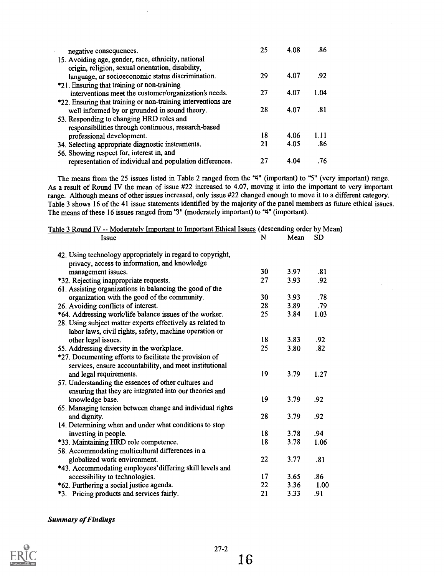| negative consequences.                                        | 25 | 4.08 | .86  |  |
|---------------------------------------------------------------|----|------|------|--|
| 15. Avoiding age, gender, race, ethnicity, national           |    |      |      |  |
| origin, religion, sexual orientation, disability,             |    |      |      |  |
| language, or socioeconomic status discrimination.             | 29 | 4.07 | .92  |  |
| *21. Ensuring that training or non-training                   |    |      |      |  |
| interventions meet the customer/organization's needs.         | 27 | 4.07 | 1.04 |  |
| *22. Ensuring that training or non-training interventions are |    |      |      |  |
| well informed by or grounded in sound theory.                 | 28 | 4.07 | .81  |  |
| 53. Responding to changing HRD roles and                      |    |      |      |  |
| responsibilities through continuous, research-based           |    |      |      |  |
| professional development.                                     | 18 | 4.06 | 1.11 |  |
| 34. Selecting appropriate diagnostic instruments.             | 21 | 4.05 | .86  |  |
| 56. Showing respect for, interest in, and                     |    |      |      |  |
| representation of individual and population differences.      | 27 | 4.04 | .76  |  |

The means from the 25 issues listed in Table 2 ranged from the '4" (important) to '5" (very important) range. As a result of Round IV the mean of issue #22 increased to 4.07, moving it into the important to very important range. Although means of other issues increased, only issue #22 changed enough to move it to a different category. Table 3 shows 16 of the 41 issue statements identified by the majority of the panel members as future ethical issues. The means of these 16 issues ranged from '3" (moderately important) to '4" (important).

| Table 3 Round IV -- Moderately Important to Important Ethical Issues (descending order by Mean)             |    |      |           |
|-------------------------------------------------------------------------------------------------------------|----|------|-----------|
| Issue                                                                                                       | N  | Mean | <b>SD</b> |
| 42. Using technology appropriately in regard to copyright,<br>privacy, access to information, and knowledge |    |      |           |
| management issues.                                                                                          | 30 | 3.97 | .81       |
| *32. Rejecting inappropriate requests.                                                                      | 27 | 3.93 | .92       |
| 61. Assisting organizations in balancing the good of the                                                    |    |      |           |
| organization with the good of the community.                                                                | 30 | 3.93 | .78       |
| 26. Avoiding conflicts of interest.                                                                         | 28 | 3.89 | .79       |
| *64. Addressing work/life balance issues of the worker.                                                     | 25 | 3.84 | 1.03      |
| 28. Using subject matter experts effectively as related to                                                  |    |      |           |
| labor laws, civil rights, safety, machine operation or                                                      |    |      |           |
| other legal issues.                                                                                         | 18 | 3.83 | .92       |
| 55. Addressing diversity in the workplace.                                                                  | 25 | 3.80 | .82       |
| *27. Documenting efforts to facilitate the provision of                                                     |    |      |           |
| services, ensure accountability, and meet institutional                                                     |    |      |           |
| and legal requirements.                                                                                     | 19 | 3.79 | 1.27      |
| 57. Understanding the essences of other cultures and                                                        |    |      |           |
| ensuring that they are integrated into our theories and                                                     |    |      |           |
| knowledge base.                                                                                             | 19 | 3.79 | .92       |
| 65. Managing tension between change and individual rights                                                   |    |      |           |
| and dignity.                                                                                                | 28 | 3.79 | .92       |
| 14. Determining when and under what conditions to stop                                                      |    |      |           |
| investing in people.                                                                                        | 18 | 3.78 | .94       |
| *33. Maintaining HRD role competence.                                                                       | 18 | 3.78 | 1.06      |
| 58. Accommodating multicultural differences in a                                                            |    |      |           |
| globalized work environment.                                                                                | 22 | 3.77 | .81       |
| *43. Accommodating employees' differing skill levels and                                                    |    |      |           |
| accessibility to technologies.                                                                              | 17 | 3.65 | .86       |
| *62. Furthering a social justice agenda.                                                                    | 22 | 3.36 | 1.00      |
| *3. Pricing products and services fairly.                                                                   | 21 | 3.33 | .91       |

Summary of Findings

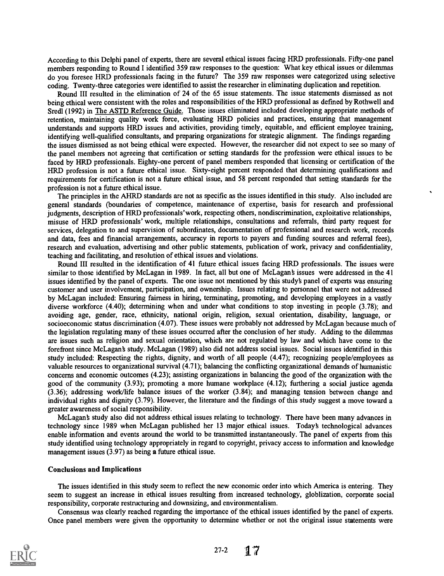According to this Delphi panel of experts, there are several ethical issues facing HRD professionals. Fifty-one panel members responding to Round I identified 359 raw responses to the question: What key ethical issues or dilemmas do you foresee HRD professionals facing in the future? The 359 raw responses were categorized using selective coding. Twenty-three categories were identified to assist the researcher in eliminating duplication and repetition.

Round III resulted in the elimination of 24 of the 65 issue statements. The issue statements dismissed as not being ethical were consistent with the roles and responsibilities of the HRD professional as defined by Rothwell and Sredl (1992) in The ASTD Reference Guide. Those issues eliminated included developing appropriate methods of retention, maintaining quality work force, evaluating HRD policies and practices, ensuring that management understands and supports HRD issues and activities, providing timely, equitable, and efficient employee training, identifying well-qualified consultants, and preparing organizations for strategic alignment. The findings regarding the issues dismissed as not being ethical were expected. However, the researcher did not expect to see so many of the panel members not agreeing that certification or setting standards for the profession were ethical issues to be faced by HRD professionals. Eighty-one percent of panel members responded that licensing or certification of the HRD profession is not a future ethical issue. Sixty-eight percent responded that determining qualifications and requirements for certification is not a future ethical issue, and 58 percent responded that setting standards for the profession is not a future ethical issue.

The principles in the AHRD standards are not as specific as the issues identified in this study. Also included are general standards (boundaries of competence, maintenance of expertise, basis for research and professional judgments, description of HRD professionals' work, respecting others, nondiscrimination, exploitative relationships, misuse of HRD professionals' work, multiple relationships, consultations and referrals, third party request for services, delegation to and supervision of subordinates, documentation of professional and research work, records and data, fees and financial arrangements, accuracy in reports to payers and funding sources and referral fees), research and evaluation, advertising and other public statements, publication of work, privacy and confidentiality, teaching and facilitating, and resolution of ethical issues and violations.

Round III resulted in the identification of 41 future ethical issues facing HRD professionals. The issues were similar to those identified by McLagan in 1989. In fact, all but one of McLagan's issues were addressed in the 41 issues identified by the panel of experts. The one issue not mentioned by this study§ panel of experts was ensuring customer and user involvement, participation, and ownership. Issues relating to personnel that were not addressed by McLagan included: Ensuring fairness in hiring, terminating, promoting, and developing employees in a vastly diverse workforce (4.40); determining when and under what conditions to stop investing in people (3.78); and avoiding age, gender, race, ethnicity, national origin, religion, sexual orientation, disability, language, or socioeconomic status discrimination (4.07). These issues were probably not addressed by McLagan because much of the legislation regulating many of these issues occurred after the conclusion of her study. Adding to the dilemmas are issues such as religion and sexual orientation, which are not regulated by law and which have come to the forefront since McLagan's study. McLagan (1989) also did not address social issues. Social issues identified in this study included: Respecting the rights, dignity, and worth of all people (4.47); recognizing people/employees as valuable resources to organizational survival (4.71); balancing the conflicting organizational demands of humanistic concerns and economic outcomes (4.23); assisting organizations in balancing the good of the organization with the good of the community (3.93); promoting a more humane workplace (4.12); furthering a social justice agenda (3.36); addressing work/life balance issues of the worker (3.84); and managing tension between change and individual rights and dignity (3.79). However, the literature and the findings of this study suggest a move toward a greater awareness of social responsibility.

McLagan's study also did not address ethical issues relating to technology. There have been many advances in technology since 1989 when McLagan published her 13 major ethical issues. Today§ technological advances enable information and events around the world to be transmitted instantaneously. The panel of experts from this study identified using technology appropriately in regard to copyright, privacy access to information and knowledge management issues (3.97) as being a future ethical issue.

#### Conclusions and Implications

The issues identified in this study seem to reflect the new economic order into which America is entering. They seem to suggest an increase in ethical issues resulting from increased technology, globlization, corporate social responsibility, corporate restructuring and downsizing, and environmentalism.

Consensus was clearly reached regarding the importance of the ethical issues identified by the panel of experts. Once panel members were given the opportunity to determine whether or not the original issue statements were



27-2 17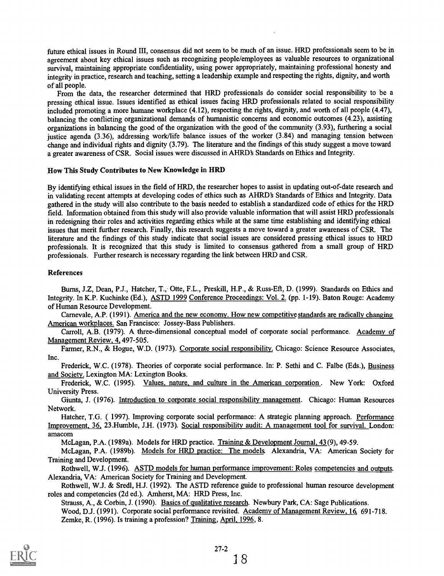future ethical issues in Round III, consensus did not seem to be much of an issue. HRD professionals seem to be in agreement about key ethical issues such as recognizing people/employees as valuable resources to organizational survival, maintaining appropriate confidentiality, using power appropriately, maintaining professional honesty and integrity in practice, research and teaching, setting a leadership example and respecting the rights, dignity, and worth of all people.

From the data, the researcher determined that HRD professionals do consider social responsibility to be a pressing ethical issue. Issues identified as ethical issues facing HRD professionals related to social responsibility included promoting a more humane workplace (4.12), respecting the rights, dignity, and worth of all people (4.47), balancing the conflicting organizational demands of humanistic concerns and economic outcomes (4.23), assisting organizations in balancing the good of the organization with the good of the community (3.93), furthering a social justice agenda (3.36), addressing work/life balance issues of the worker (3.84) and managing tension between change and individual rights and dignity (3.79). The literature and the findings of this study suggest a move toward a greater awareness of CSR. Social issues were discussed in AHRD's Standards on Ethics and Integrity.

#### How This Study Contributes to New Knowledge in HRD

By identifying ethical issues in the field of HRD, the researcher hopes to assist in updating out-of-date research and in validating recent attempts at developing codes of ethics such as AHRD's Standards of Ethics and Integrity. Data gathered in the study will also contribute to the basis needed to establish a standardized code of ethics for the HRD field. Information obtained from this study will also provide valuable information that will assist HRD professionals in redesigning their roles and activities regarding ethics while at the same time establishing and identifying ethical issues that merit further research. Finally, this research suggests a move toward a greater awareness of CSR. The literature and the findings of this study indicate that social issues are considered pressing ethical issues to HRD professionals. It is recognized that this study is limited to consensus gathered from a small group of HRD professionals. Further research is necessary regarding the link between HRD and CSR.

#### References

Burns, J.Z, Dean, P.J., Hatcher, T., Otte, F.L., Preskill, H.P., & Russ-Eft, D. (1999). Standards on Ethics and Integrity. In K.P. Kuchinke (Ed.), ASTD 1999 Conference Proceedings: Vol. 2. (pp. 1-19). Baton Rouge: Academy of Human Resource Development.

Carnevale, A.P. (1991). America and the new economy. How new competitive standards are radically changing American workplaces. San Francisco: Jossey-Bass Publishers.

Carroll, A.B. (1979). A three-dimensional conceptual model of corporate social performance. Academy of Management Review, 4, 497-505.

Fanner, R.N., & Hogue, W.D. (1973). Corporate social responsibility. Chicago: Science Resource Associates, Inc.

Frederick, W.C. (1978). Theories of corporate social performance. In: P. Sethi and C. Falbe (Eds.), Business and Society. Lexington MA: Lexington Books.

Frederick, W.C. (1995). Values, nature, and culture in the American corporation . New York: Oxford University Press.

Giunta, J. (1976). Introduction to corporate social responsibility management. Chicago: Human Resources Network.

Hatcher, T.G. ( 1997). Improving corporate social performance: A strategic planning approach. Performance Improvement, 36, 23.Humble, J.H. (1973). Social responsibility audit: A management tool for survival. London: amacom

McLagan, P.A. (1989a). Models for HRD practice. Training & Development Journal, 43 (9), 49-59.

McLagan, P.A. (1989b). Models for HRD practice: The models. Alexandria, VA: American Society for Training and Development.

Rothwell, W.J. (1996). ASTD models for human performance improvement: Roles competencies and outputs. Alexandria, VA: American Society for Training and Development.

Rothwell, W.J. & Sredl, H.J. (1992). The ASTD reference guide to professional human resource development roles and competencies (2d ed.). Amherst, MA: HRD Press, Inc.

Strauss, A., & Corbin, J. (1990). Basics of qualitative research. Newbury Park, CA: Sage Publications. Wood, D.J. (1991). Corporate social performance revisited. Academy of Management Review, 16, 691-718. Zemke, R. (1996). Is training a profession? Training, April, 1996, 8.

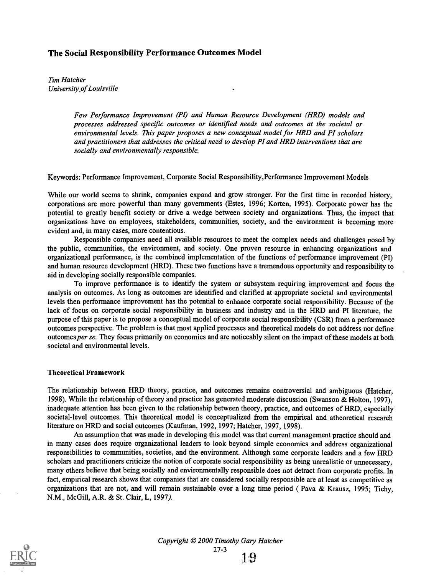#### The Social Responsibility Performance Outcomes Model

Tim Hatcher University .of Louisville

> Few Performance Improvement (PI) and Human Resource Development (HRD) models and processes addressed specific outcomes or identified needs and outcomes at the societal or environmental levels. This paper proposes a new conceptual model for HRD and PI scholars and practitioners that addresses the critical need to develop PI and HRD interventions that are socially and environmentally responsible.

Keywords: Performance Improvement, Corporate Social Responsibility,Performance Improvement Models

While our world seems to shrink, companies expand and grow stronger. For the first time in recorded history, corporations are more powerful than many governments (Estes, 1996; Korten, 1995). Corporate power has the potential to greatly benefit society or drive a wedge between society and organizations. Thus, the impact that organizations have on employees, stakeholders, communities, society, and the environment is becoming more evident and, in many cases, more contentious.

Responsible companies need all available resources to meet the complex needs and challenges posed by the public, communities, the environment, and society. One proven resource in enhancing organizations and organizational performance, is the combined implementation of the functions of performance improvement (PI) and human resource development (HRD). These two functions have a tremendous opportunity and responsibility to aid in developing socially responsible companies.

To improve performance is to identify the system or subsystem requiring improvement and focus the analysis on outcomes. As long as outcomes are identified and clarified at appropriate societal and environmental levels then performance improvement has the potential to enhance corporate social responsibility. Because of the lack of focus on corporate social responsibility in business and industry and in the HRD and PI literature, the purpose of this paper is to propose a conceptual model of corporate social responsibility (CSR) from a performance outcomes perspective. The problem is that most applied processes and theoretical models do not address nor define outcomes per se. They focus primarily on economics and are noticeably silent on the impact of these models at both societal and environmental levels.

#### Theoretical Framework

The relationship between HRD theory, practice, and outcomes remains controversial and ambiguous (Hatcher, 1998). While the relationship of theory and practice has generated moderate discussion (Swanson & Holton, 1997), inadequate attention has been given to the relationship between theory, practice, and outcomes of HRD, especially societal-level outcomes. This theoretical model is conceptualized from the empirical and atheoretical research literature on HRD and social outcomes (Kaufman, 1992, 1997; Hatcher, 1997, 1998).

An assumption that was made in developing this model was that current management practice should and in many cases does require organizational leaders to look beyond simple economics and address organizational responsibilities to communities, societies, and the environment. Although some corporate leaders and a few HRD scholars and practitioners criticize the notion of corporate social responsibility as being unrealistic or unnecessary, many others believe that being socially and environmentally responsible does not detract from corporate profits. In fact, empirical research shows that companies that are considered socially responsible are at least as competitive as organizations that are not, and will remain sustainable over a long time period ( Pava & Krausz, 1995; Tichy, N.M., McGill, A.R. & St. Clair, L, 1997).

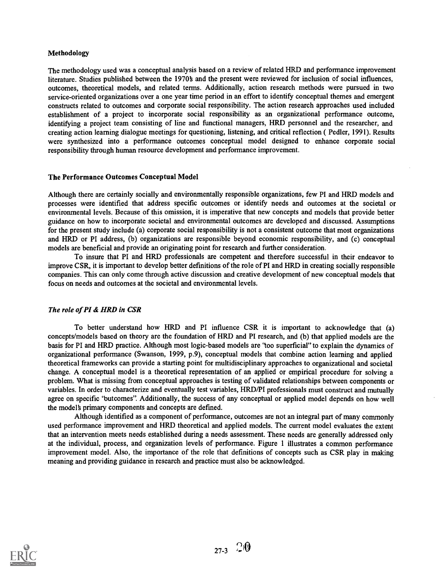#### Methodology

The methodology used was a conceptual analysis based on a review of related HRD and performance improvement literature. Studies published between the 1970s and the present were reviewed for inclusion of social influences. outcomes, theoretical models, and related terms. Additionally, action research methods were pursued in two service-oriented organizations over a one year time period in an effort to identify conceptual themes and emergent constructs related to outcomes and corporate social responsibility. The action research approaches used included establishment of a project to incorporate social responsibility as an organizational performance outcome, identifying a project team consisting of line and functional managers, HRD personnel and the researcher, and creating action learning dialogue meetings for questioning, listening, and critical reflection ( Pedler, 1991). Results were synthesized into a performance outcomes conceptual model designed to enhance corporate social responsibility through human resource development and performance improvement.

#### The Performance Outcomes Conceptual Model

Although there are certainly socially and environmentally responsible organizations, few PI and HRD models and processes were identified that address specific outcomes or identify needs and outcomes at the societal or environmental levels. Because of this omission, it is imperative that new concepts and models that provide better guidance on how to incorporate societal and environmental outcomes are developed and discussed. Assumptions for the present study include (a) corporate social responsibility is not a consistent outcome that most organizations and HRD or PI address, (b) organizations are responsible beyond economic responsibility, and (c) conceptual models are beneficial and provide an originating point for research and further consideration.

To insure that PI and HRD professionals are competent and therefore successful in their endeavor to improve CSR, it is important to develop better definitions of the role of PI and HRD in creating socially responsible companies. This can only come through active discussion and creative development of new conceptual models that focus on needs and outcomes at the societal and environmental levels.

#### The role of PI & HRD in CSR

To better understand how HRD and PI influence CSR it is important to acknowledge that (a) concepts/models based on theory are the foundation of HRD and PI research, and (b) that applied models are the basis for PI and HRD practice. Although most logic-based models are "too superficial" to explain the dynamics of organizational performance (Swanson, 1999, p.9), conceptual models that combine action learning and applied theoretical frameworks can provide a starting point for multidisciplinary approaches to organizational and societal change. A conceptual model is a theoretical representation of an applied or empirical procedure for solving a problem. What is missing from conceptual approaches is testing of validated relationships between components or variables. In order to characterize and eventually test variables, HRD/PI professionals must construct and mutually agree on specific 'butcomes''. Additionally, the success of any conceptual or applied model depends on how well the model's primary components and concepts are defined.

Although identified as a component of performance, outcomes are not an integral part of many commonly used performance improvement and HRD theoretical and applied models. The current model evaluates the extent that an intervention meets needs established during a needs assessment. These needs are generally addressed only at the individual, process, and organization levels of performance. Figure 1 illustrates a common performance improvement model. Also, the importance of the role that definitions of concepts such as CSR play in making meaning and providing guidance in research and practice must also be acknowledged.

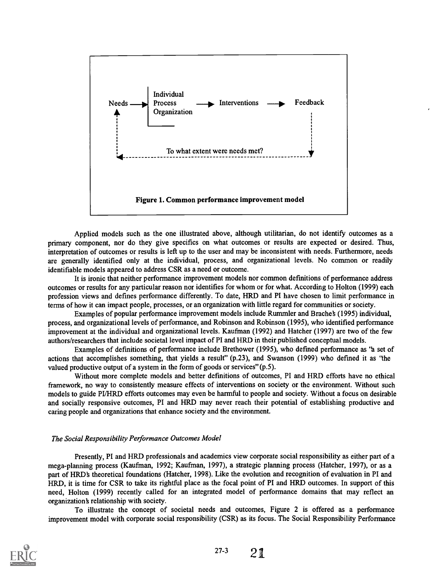

Applied models such as the one illustrated above, although utilitarian, do not identify outcomes as a primary component, nor do they give specifics on what outcomes or results are expected or desired. Thus, interpretation of outcomes or results is left up to the user and may be inconsistent with needs. Furthermore, needs are generally identified only at the individual, process, and organizational levels. No common or readily identifiable models appeared to address CSR as a need or outcome.

It is ironic that neither performance improvement models nor common defmitions of performance address outcomes or results for any particular reason nor identifies for whom or for what. According to Holton (1999) each profession views and defines performance differently. To date, HRD and PI have chosen to limit performance in terms of how it can impact people, processes, or an organization with little regard for communities or society.

Examples of popular performance improvement models include Rummler and Bracheb (1995) individual, process, and organizational levels of performance, and Robinson and Robinson (1995), who identified performance improvement at the individual and organizational levels. Kaufman (1992) and Hatcher (1997) are two of the few authors/researchers that include societal level impact of PI and HRD in their published conceptual models.

Examples of definitions of performance include Brethower (1995), who defined performance as 'a set of actions that accomplishes something, that yields a result" (p.23), and Swanson (1999) who defined it as "the valued productive output of a system in the form of goods or services" (p.5).

Without more complete models and better definitions of outcomes, PI and HRD efforts have no ethical framework, no way to consistently measure effects of interventions on society or the environment. Without such models to guide PI/HRD efforts outcomes may even be harmful to people and society. Without a focus on desirable and socially responsive outcomes, PI and HRD may never reach their potential of establishing productive and caring people and organizations that enhance society and the environment.

#### The Social Responsibility Performance Outcomes Model

Presently, PI and HRD professionals and academics view corporate social responsibility as either part of a mega-planning process (Kaufman, 1992; Kaufman, 1997), a strategic planning process (Hatcher, 1997), or as a part of HRD's theoretical foundations (Hatcher, 1998). Like the evolution and recognition of evaluation in PI and HRD, it is time for CSR to take its rightful place as the focal point of PI and HRD outcomes. In support of this need, Holton (1999) recently called for an integrated model of performance domains that may reflect an organization's relationship with society.

To illustrate the concept of societal needs and outcomes, Figure 2 is offered as a performance improvement model with corporate social responsibility (CSR) as its focus. The Social Responsibility Performance

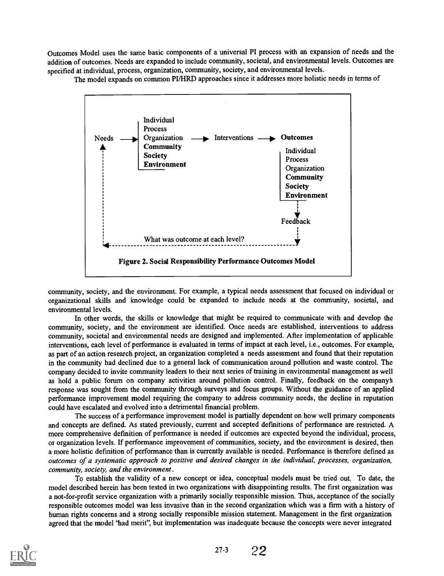Outcomes Model uses the same basic components of a universal PI process with an expansion of needs and the addition of outcomes. Needs are expanded to include community, societal, and environmental levels. Outcomes are specified at individual, process, organization, community, society, and environmental levels.

The model expands on common PUHRD approaches since it addresses more holistic needs in terms of



community, society, and the environment. For example, a typical needs assessment that focused on individual or organizational skills and knowledge could be expanded to include needs at the community, societal, and environmental levels.

In other words, the skills or knowledge that might be required to communicate with and develop the community, society, and the environment are identified. Once needs are established, interventions to address community, societal and environmental needs are designed and implemented. After implementation of applicable interventions, each level of performance is evaluated in terms of impact at each level, i.e., outcomes. For example, as part of an action research project, an organization completed a needs assessment and found that their reputation in the community had declined due to a general lack of communication around pollution and waste control. The company decided to invite community leaders to their next series of training in environmental management as well as hold a public forum on company activities around pollution control. Finally, feedback on the company response was sought from the community through surveys and focus groups. Without the guidance of an applied performance improvement model requiring the company to address community needs, the decline in reputation could have escalated and evolved into a detrimental financial problem.

The success of a performance improvement model is partially dependent on how well primary components and concepts are defined. As stated previously, current and accepted definitions of performance are restricted. A more comprehensive definition of performance is needed if outcomes are expected beyond the individual, process, or organization levels. If performance improvement of communities, society, and the environment is desired, then a more holistic definition of performance than is currently available is needed. Performance is therefore defined as outcomes of a systematic approach to positive and desired changes in the individual, processes, organization, community, society, and the environment .

To establish the validity of a new concept or idea, conceptual models must be tried out. To date, the model described herein has been tested in two organizations with disappointing results. The first organization was a not-for-profit service organization with a primarily socially responsible mission. Thus, acceptance of the socially responsible outcomes model was less invasive than in the second organization which was a firm with a history of human rights concerns and a strong socially responsible mission statement. Management in the first organization agreed that the model 'had merit", but implementation was inadequate because the concepts were never integrated



27-3 22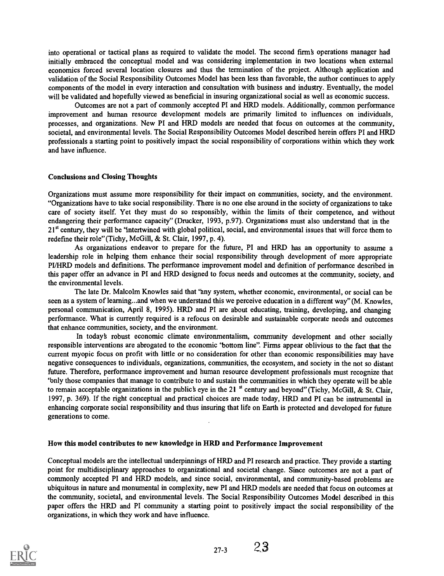into operational or tactical plans as required to validate the model. The second firms operations manager had initially embraced the conceptual model and was considering implementation in two locations when external economics forced several location closures and thus the termination of the project. Although application and validation of the Social Responsibility Outcomes Model has been less than favorable, the author continues to apply components of the model in every interaction and consultation with business and industry. Eventually, the model will be validated and hopefully viewed as beneficial in insuring organizational social as well as economic success.

Outcomes are not a part of commonly accepted PI and HRD models. Additionally, common performance improvement and human resource development models are primarily limited to influences on individuals, processes, and organizations. New PI and HRD models are needed that focus on outcomes at the community, societal, and environmental levels. The Social Responsibility Outcomes Model described herein offers PI and HRD professionals a starting point to positively impact the social responsibility of corporations within which they work and have influence.

#### Conclusions and Closing Thoughts

Organizations must assume more responsibility for their impact on communities, society, and the environment. "Organizations have to take social responsibility. There is no one else around in the society of organizations to take care of society itself. Yet they must do so responsibly, within the limits of their competence, and without endangering their performance capacity" (Drucker, 1993, p.97). Organizations must also understand that in the  $21<sup>st</sup>$  century, they will be 'intertwined with global political, social, and environmental issues that will force them to redefine their role" (Tichy, McGill, & St. Clair, 1997, p. 4).

As organizations endeavor to prepare for the future, PI and HRD has an opportunity to assume a leadership role in helping them enhance their social responsibility through development of more appropriate PI/HRD models and definitions. The performance improvement model and definition of performance described in this paper offer an advance in PI and HRD designed to focus needs and outcomes at the community, society, and the environmental levels.

The late Dr. Malcolm Knowles said that 'any system, whether economic, environmental, or social can be seen as a system of learning...and when we understand this we perceive education in a different way" (M. Knowles, personal communication, April 8, 1995). HRD and PI are about educating, training, developing, and changing performance. What is currently required is a refocus on desirable and sustainable corporate needs and outcomes that enhance communities, society, and the environment.

In today's robust economic climate environmentalism, community development and other socially responsible interventions are abrogated to the economic 'bottom line". Finns appear oblivious to the fact that the current myopic focus on profit with little or no consideration for other than economic responsibilities may have negative consequences to individuals, organizations, communities, the ecosystem, and society in the not so distant future. Therefore, performance improvement and human resource development professionals must recognize that 'billy those companies that manage to contribute to and sustain the communities in which they operate will be able to remain acceptable organizations in the publics eye in the 21  $^{\text{st}}$  century and beyond" (Tichy, McGill, & St. Clair, 1997, p. 369). If the right conceptual and practical choices are made today, HRD and PI can be instrumental in enhancing corporate social responsibility and thus insuring that life on Earth is protected and developed for future generations to come.

#### How this model contributes to new knowledge in HRD and Performance Improvement

Conceptual models are the intellectual underpinnings of HRD and PI research and practice. They provide a starting point for multidisciplinary approaches to organizational and societal change. Since outcomes are not a part of commonly accepted PI and HRD models, and since social, environmental, and community-based problems are ubiquitous in nature and monumental in complexity, new PI and HRD models are needed that focus on outcomes at the community, societal, and environmental levels. The Social Responsibility Outcomes Model described in this paper offers the HRD and PI community a starting point to positively impact the social responsibility of the organizations, in which they work and have influence.

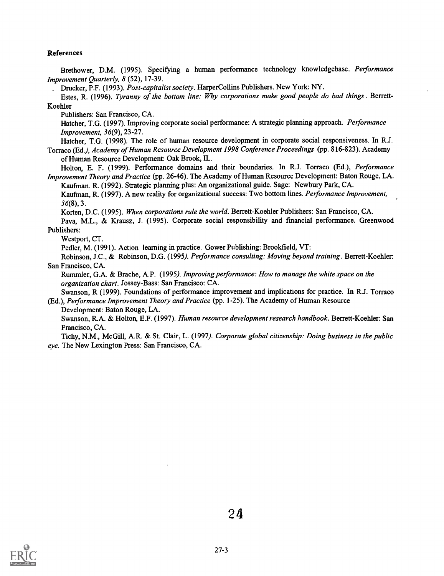#### References

Brethower, D.M. (1995). Specifying a human performance technology knowledgebase. Performance Improvement Quarterly, 8 (52), 17-39.

Drucker, P.F. (1993). Post-capitalist society. HarperCollins Publishers. New York: NY.

Estes, R. (1996). Tyranny of the bottom line: Why corporations make good people do bad things . Berrett-Koehler

Publishers: San Francisco, CA.

Hatcher, T.G. (1997). Improving corporate social performance: A strategic planning approach. Performance Improvement, 36(9), 23-27.

Hatcher, T.G. (1998). The role of human resource development in corporate social responsiveness. In R.J.

Torraco (Ed.), Academy of Human Resource Development 1998 Conference Proceedings (pp. 816-823). Academy of Human Resource Development: Oak Brook, IL.

Holton, E. F. (1999). Performance domains and their boundaries. In R.J. Torraco (Ed.), Performance Improvement Theory and Practice (pp. 26-46). The Academy of Human Resource Development: Baton Rouge, LA.

Kaufman. R. (1992). Strategic planning plus: An organizational guide. Sage: Newbury Park, CA.

Kaufman, R. (1997). A new reality for organizational success: Two bottom lines. Performance Improvement, 36(8), 3.

Korten, D.C. (1995). When corporations rule the world. Berrett-Koehler Publishers: San Francisco, CA.

Pava, M.L., & Krausz, J. (1995). Corporate social responsibility and financial performance. Greenwood Publishers:

Westport, CT.

Pedler, M. (1991). Action learning in practice. Gower Publishing: Brookfield, VT:

Robinson, J.C., & Robinson, D.G. (1995). Performance consulting: Moving beyond training. Berrett-Koehler: San Francisco, CA.

Rummler, G.A. & Brache, A.P. (1995). Improving performance: How to manage the white space on the organization chart. Jossey-Bass: San Francisco: CA.

Swanson, R (1999). Foundations of performance improvement and implications for practice. In R.J. Torraco (Ed.), Performance Improvement Theory and Practice (pp. 1-25). The Academy of Human Resource

Development: Baton Rouge, LA.

Swanson, R.A. & Holton, E.F. (1997). Human resource development research handbook. Berrett-Koehler: San Francisco, CA.

Tichy, N.M., McGill, A.R. & St. Clair, L. (1997). Corporate global citizenship: Doing business in the public eye. The New Lexington Press: San Francisco, CA.



24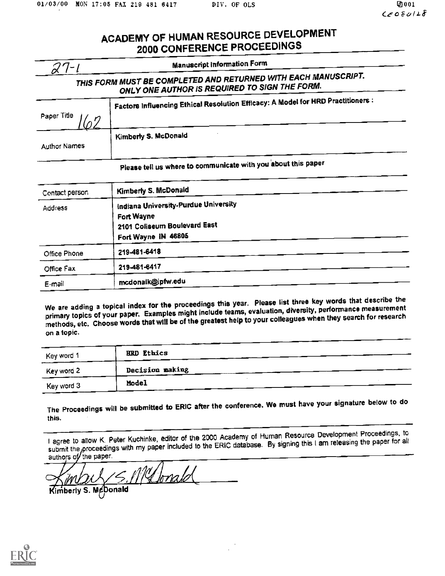## ACADEMY OF HUMAN RESOURCE DEVELOPMENT 2000 CONFERENCE PROCEEDINGS

| $27 - 1$                                       | <b>Manuscript Information Form</b>                                                                              |
|------------------------------------------------|-----------------------------------------------------------------------------------------------------------------|
|                                                | THIS FORM MUST BE COMPLETED AND RETURNED WITH EACH MANUSCRIPT.<br>ONLY ONE AUTHOR IS REQUIRED TO SIGN THE FORM. |
| Paper Title                                    | Factors Influencing Ethical Resolution Efficacy: A Model for HRD Practitioners:                                 |
| <b>Author Names</b>                            | Kimberly S. McDonald                                                                                            |
|                                                | Please tell us where to communicate with you about this paper                                                   |
|                                                | Kimberly S. McDonald                                                                                            |
|                                                |                                                                                                                 |
|                                                | Indiana University-Purdue University<br>Fort Wayne<br>2101 Coliseum Boulevard East<br>Fort Wayne IN 46805       |
| Office Phone                                   | 219-481-6418                                                                                                    |
| Contact person<br><b>Address</b><br>Office Fax | 219-481-6417                                                                                                    |

We are adding a topical index for the proceedings this year. Please list three key words that describe the primary topics of your paper. Examples might include teams, evaluation, diversity, performance measurement methods, etc. Choose words that will be of the greatest help to your colleagues when they search for research on a topic.

| Key word 1 | <b>HRD Ethics</b> |  |
|------------|-------------------|--|
| Key word 2 | Decision making   |  |
| Key word 3 | Model             |  |

The Proceedings will be submitted to ERIC after the conference. We must have your signature below to do this.

I agree to allow K. Peter Kuchinke, editor of the 2000 Academy of Human Resource Development Proceedings, to submit the proceedings with my paper included to the ERIC database. By signing this I am releasing the paper for all authors of the paper.

Melonald berly S. McDonald

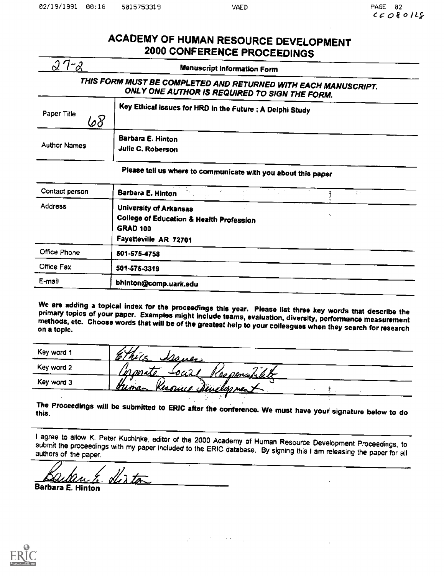## ACADEMY OF HUMAN RESOURCE DEVELOPMENT 2000 CONFERENCE PROCEEDINGS

|                    | <b>Manuscript Information Form</b>                                                                              |
|--------------------|-----------------------------------------------------------------------------------------------------------------|
|                    | THIS FORM MUST BE COMPLETED AND RETURNED WITH EACH MANUSCRIPT.<br>ONLY ONE AUTHOR IS REQUIRED TO SIGN THE FORM. |
| Paper Title<br>.o8 | Key Ethical Issues for HRD in the Future : A Delphi Study                                                       |
| Author Names       | Barbara E. Hinton<br>Julie C. Roberson                                                                          |

## Please tell us where to communicate with you about this paper

| Contact person | Barbara E. Hinton<br>オナーマ                                                                                                        |
|----------------|----------------------------------------------------------------------------------------------------------------------------------|
| Address        | <b>University of Arkansas</b><br><b>College of Education &amp; Health Profession</b><br><b>GRAD 100</b><br>Fayetteville AR 72701 |
| Office Phone   | 501-575-4758                                                                                                                     |
| Office Fax     | 501-575-3319                                                                                                                     |
| E-mail         | bhinton@comp.uark.edu                                                                                                            |

We are adding a topical index for the proceedings this year. Please list three key words that describe the<br>primary topics of your paper. Examples might include teams, evaluation, diversity, performance measurement<br>methods,

| Key word 1 | <u>Alener</u>                               |
|------------|---------------------------------------------|
| Key word 2 | <u>oar</u><br>nonale<br><u>Ilesponablet</u> |
| Key word 3 | Kessing chericlop ment<br>Gunan             |

The Proceedings will be submitted to ERIC after the conference. We must have your signature below to do

I agree to allow K. Peter Kuchinke, editor of the 2000 Academy of Human Resource Development Proceedings, to submit the proceedings with my paper included to the ERIC database. By signing this I am releasing the paper for all

olle de tour

Barbara E. Hinton